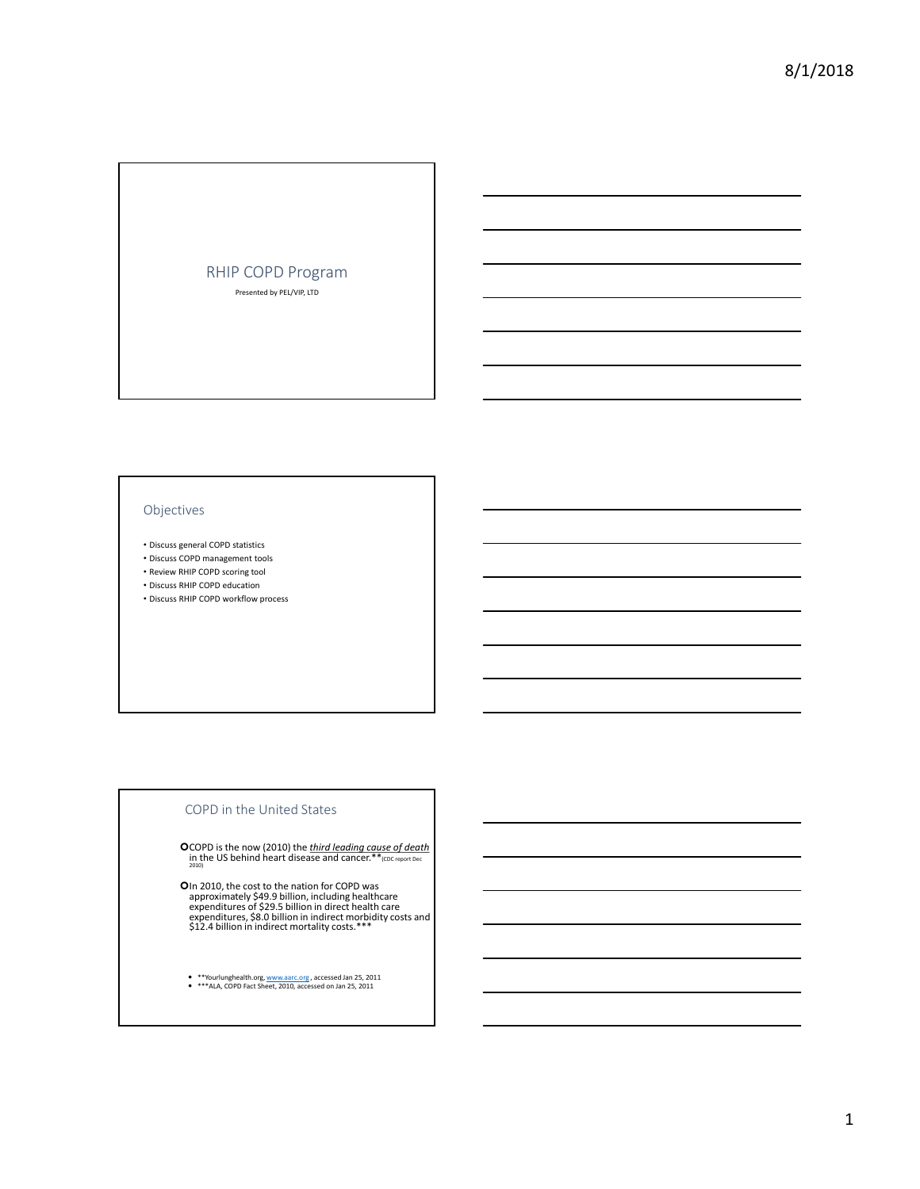# RHIP COPD Program Presented by PEL/VIP, LTD

# Objectives

- Discuss general COPD statistics
- Discuss COPD management tools
- Review RHIP COPD scoring tool • Discuss RHIP COPD education
- Discuss RHIP COPD workflow process

#### COPD in the United States

**O** COPD is the now (2010) the *third leading cause of death* in the US behind heart disease and cancer.<sup>\*\*</sup>(cDC report Dec 2010)

**O**In 2010, the cost to the nation for COPD was<br>approximately \$49.9 billion, including healthcare<br>expenditures of \$29.5 billion in direct health care<br>expenditures, \$8.0 billion in indirect morbidity costs and<br>\$12.4 billio

\*\*Yourlunghealth.org, www.aarc.org , accessed Jan 25, 2011 \*\*\*ALA, COPD Fact Sheet, 2010, accessed on Jan 25, 2011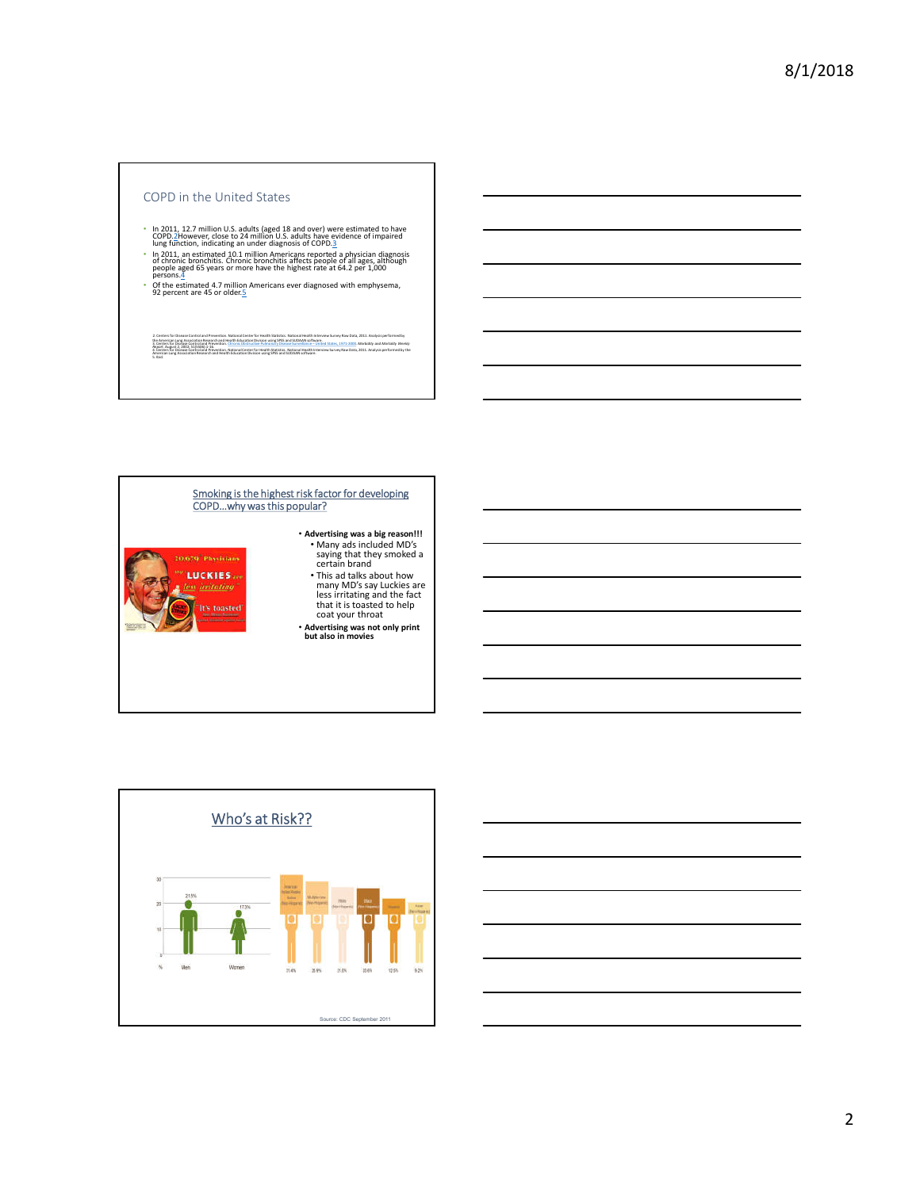#### COPD in the United States

- 
- <sup>a</sup> In 2011, 12.7 million U.S. adults (aged 18 and over) were estimated to have<br>COPD.2However, close to 24 million U.S. adults have evidence of impaired<br>lung function, indicating an under diagnosis of COPD.3<br>of chronic br

2. Center for Discarc Control of President Mission Center for Health Statistics. National Health War Discarce Co<br>3. Center for Discarce Control of President Commissions Formed Former Subscribed Trans States, 1971-2021. Med

• Of the estimated 4.7 million Americans ever diagnosed with emphysema, 92 percent are 45 or older. 5

COPD…why was this popular? • **Advertising was a big reason!!!** • Many ads included MD's saying that they smoked a certain brand 20.679<sup>-</sup>Physicians *CLUCKIES* • This ad talks about how <u>s irritating</u> many MD's say Luckies are less irritating and the fact that it is toasted to help coat your throat toasted • **Advertising was not only print but also in movies**





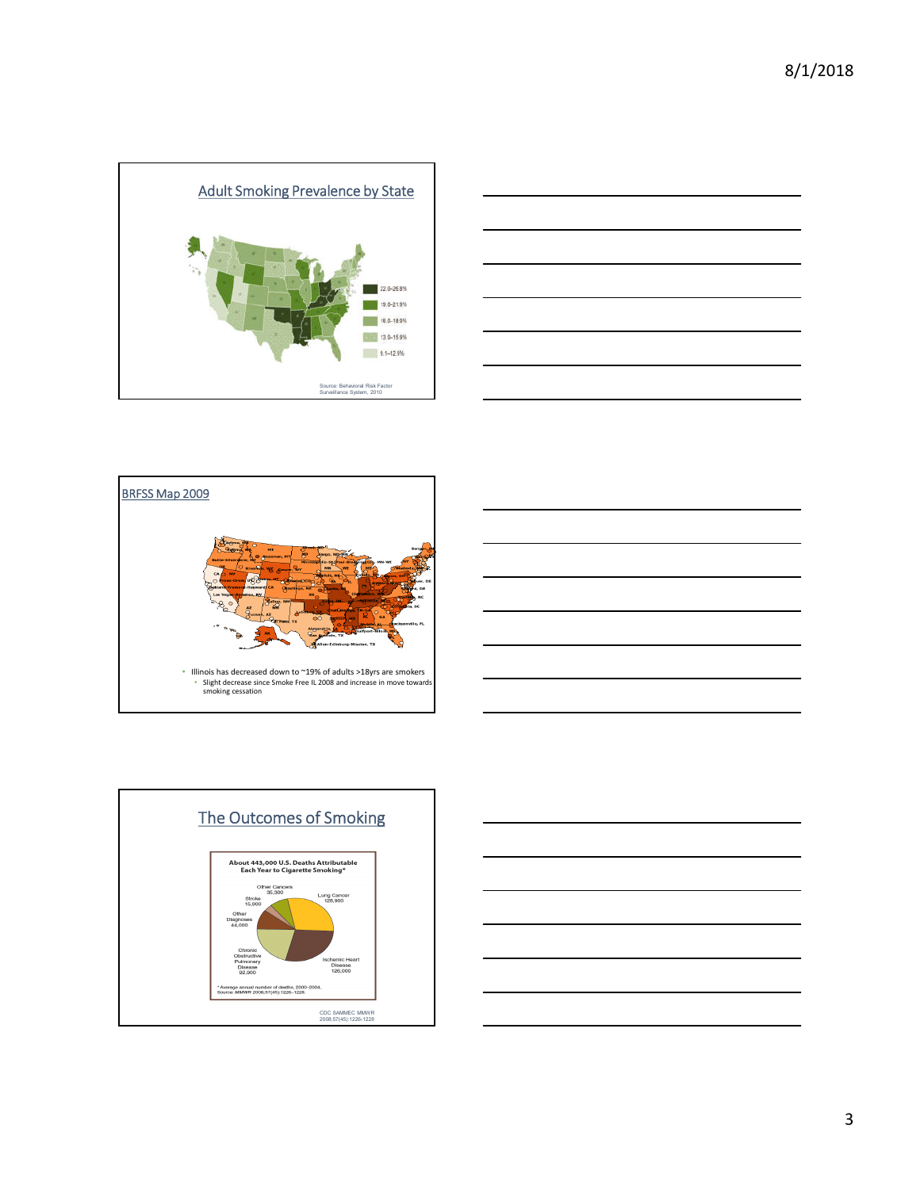







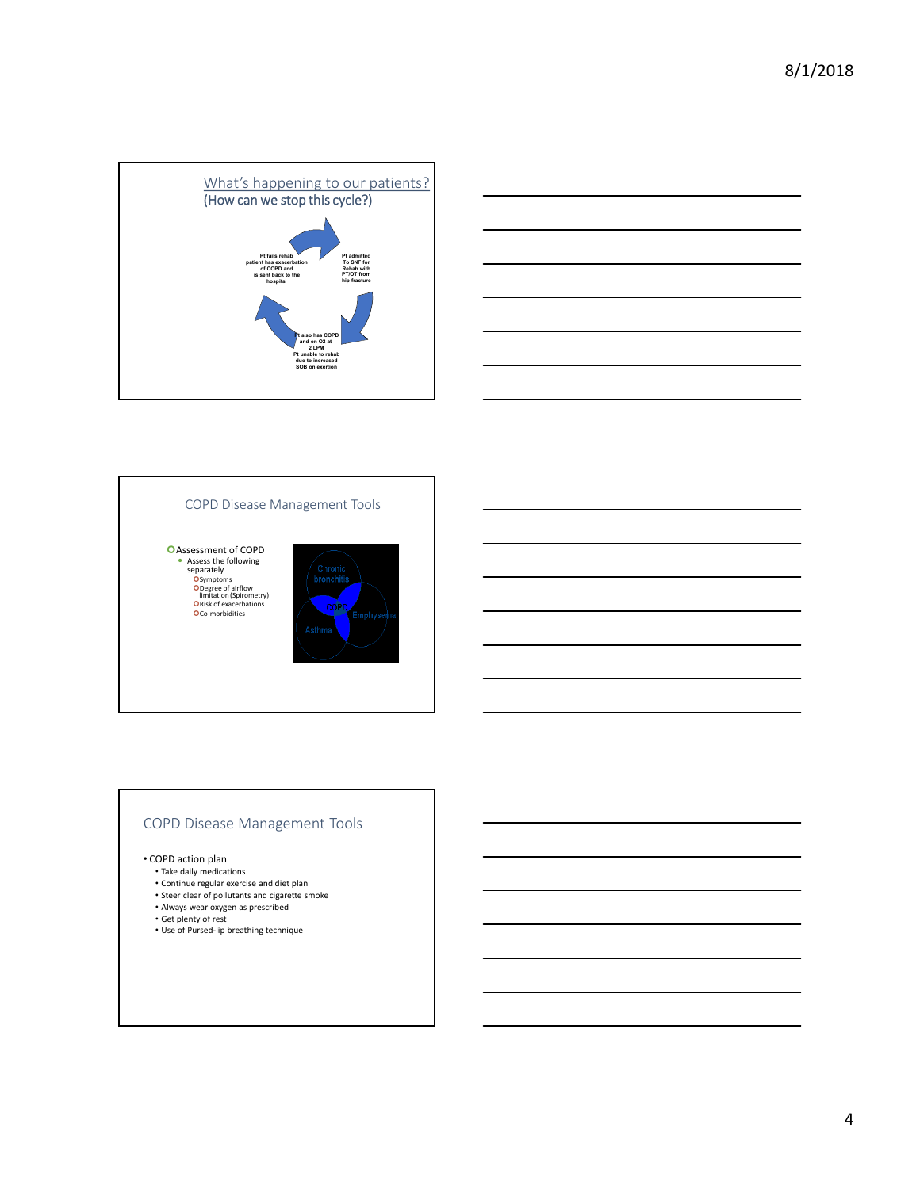



# COPD Disease Management Tools

**O**Assessment of COPD **•** Assess the following<br>
separately<br> **O**Symptoms<br> **ODegree of airflow**<br>
limitation (Spirometry)<br> **ORISK of exacerbations**<br> **OCO-morbidities** 



# COPD Disease Management Tools

• COPD action plan

- Take daily medications
- Continue regular exercise and diet plan
- Steer clear of pollutants and cigarette smoke Always wear oxygen as prescribed
- 
- Get plenty of rest Use of Pursed-lip breathing technique
-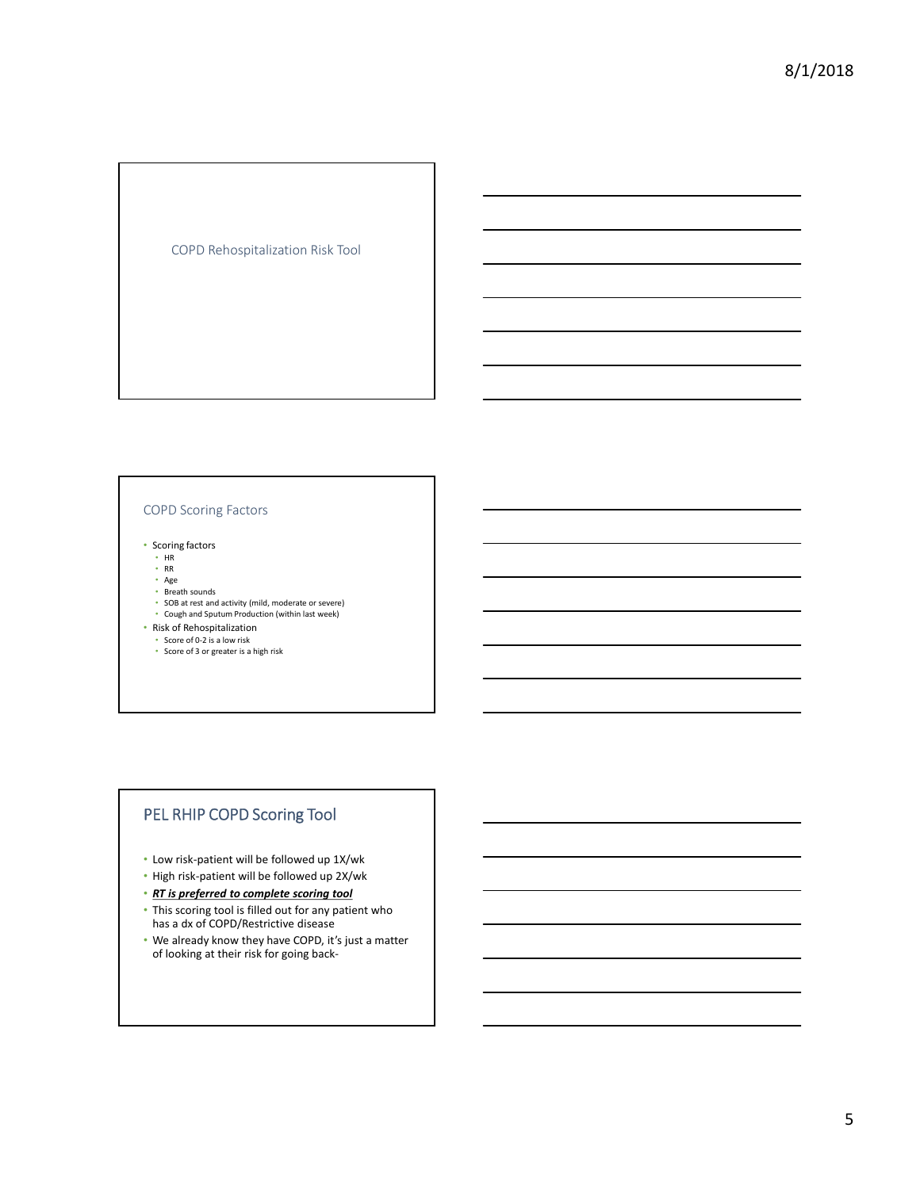COPD Rehospitalization Risk Tool

# COPD Scoring Factors

• Scoring factors

- HR RR
- 
- Age Breath sounds
- SOB at rest and activity (mild, moderate or severe)
- Cough and Sputum Production (within last week)
- 
- Risk of Rehospitalization Score of 0-2 is a low risk
- Score of 3 or greater is a high risk

# PEL RHIP COPD Scoring Tool

- Low risk-patient will be followed up 1X/wk
- High risk-patient will be followed up 2X/wk
- *RT is preferred to complete scoring tool*
- This scoring tool is filled out for any patient who has a dx of COPD/Restrictive disease
- We already know they have COPD, it's just a matter of looking at their risk for going back-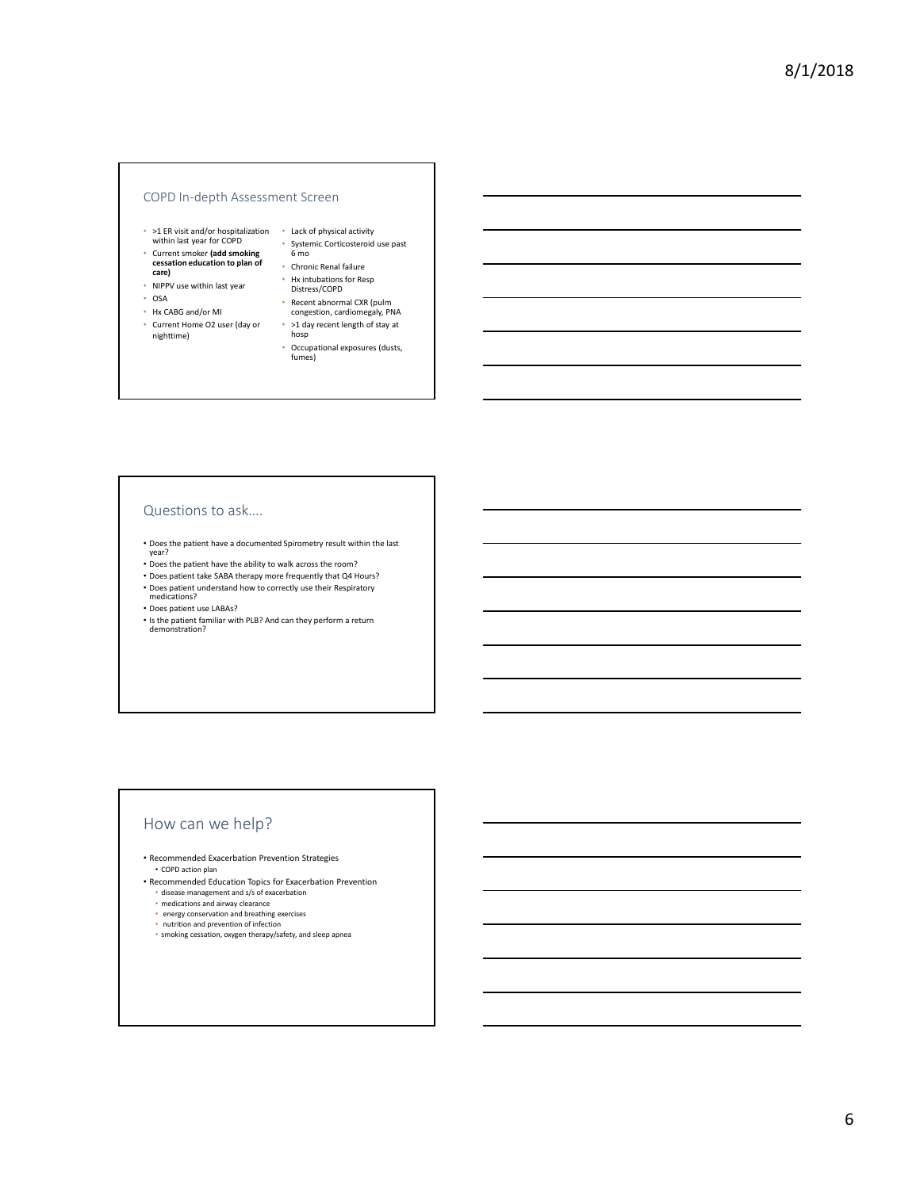#### COPD In-depth Assessment Screen

- >1 ER visit and/or hospitalization within last year for COPD • Lack of physical activity
- Current smoker **(add smoking**
- **cessation education to plan of care)** • NIPPV use within last year
- OSA
- Hx CABG and/or MI
- Current Home O2 user (day or nighttime)
	- >1 day recent length of stay at hosp
		- Occupational exposures (dusts, fumes)

• Systemic Corticosteroid use past 6 mo • Chronic Renal failure • Hx intubations for Resp Distress/COPD • Recent abnormal CXR (pulm congestion, cardiomegaly, PNA

# Questions to ask….

• Does the patient have a documented Spirometry result within the last year?

- Does the patient have the ability to walk across the room?
- Does patient take SABA therapy more frequently that Q4 Hours?
- Does patient understand how to correctly use their Respiratory

medications?

- Does patient use LABAs?
- Is the patient familiar with PLB? And can they perform a return demonstration?

# How can we help?

• Recommended Exacerbation Prevention Strategies • COPD action plan

- Recommended Education Topics for Exacerbation Prevention
	- disease management and s/s of exacerbation medications and airway clearance
	-
	- energy conservation and breathing exercises nutrition and prevention of infection
	- smoking cessation, oxygen therapy/safety, and sleep apnea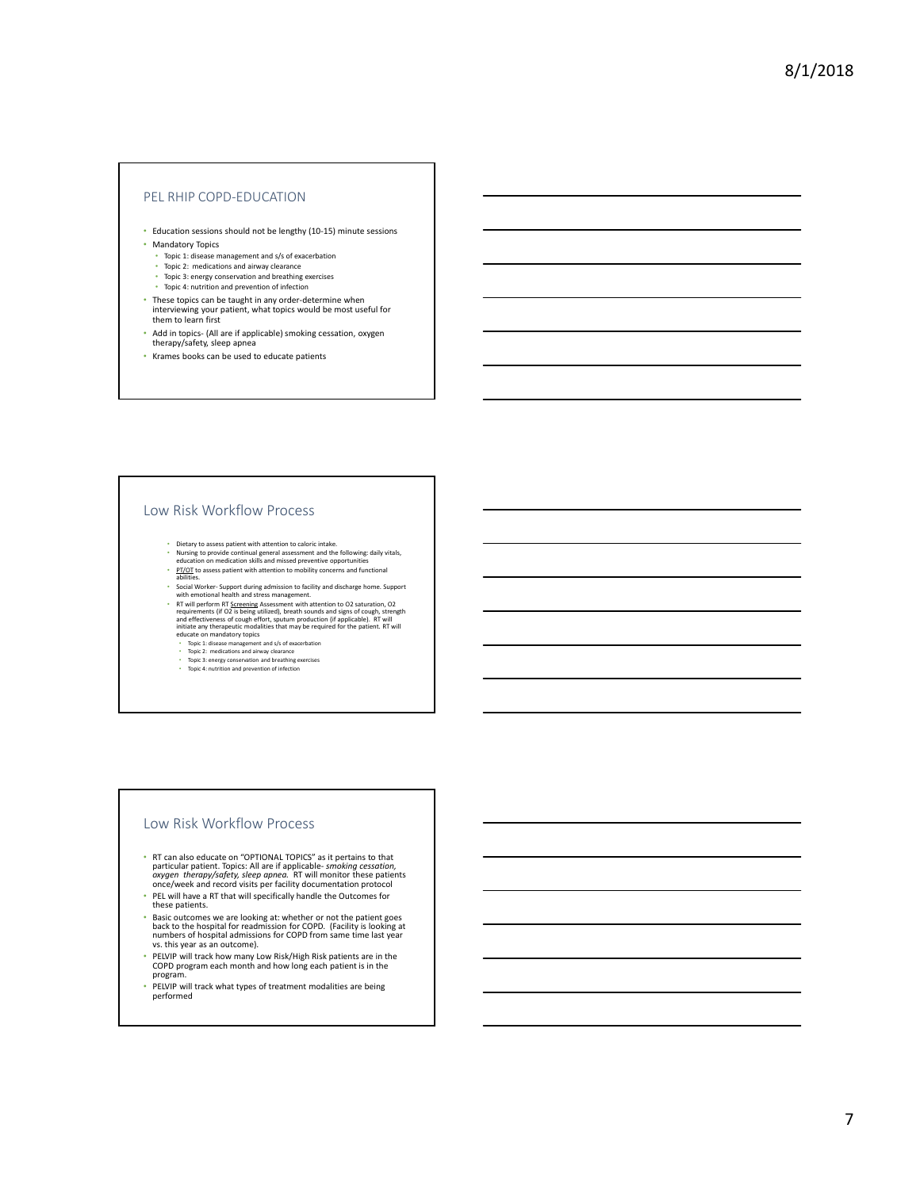#### PEL RHIP COPD-EDUCATION

- Education sessions should not be lengthy (10-15) minute sessions
- Mandatory Topics
	- Topic 1: disease management and s/s of exacerbation Topic 2: medications and airway clearance
	-
	- Topic 3: energy conservation and breathing exercises Topic 4: nutrition and prevention of infection
- These topics can be taught in any order-determine when interviewing your patient, what topics would be most useful for them to learn first
- Add in topics- (All are if applicable) smoking cessation, oxygen therapy/safety, sleep apnea
- Krames books can be used to educate patients

#### Low Risk Workflow Process

- Dietary to assess patient with attention to caloric intake.
- Nursing to provide continual general assessment and the following: daily vitals, education on medication skills and missed preventive opportunities
- 
- PT/OT to assess patient with attention to mobility concerns and functional abilities.
- Social Worker- Support during admission to facility and discharge home. Support with emotional health and stress management. **EXECUTE THE SECTION FOR SECTION AND THE TRANSISE THE SECTION PROPERTIES (IF OR SET AND THE SECTION THAT AND THE SECTION THAT AND THE SIMULATION INTO THE SIMULATION CONDUCT THE SECTION PROPERTIES (IF THE SECTION CONDUCT)** 
	-
	-
	-
	-

#### Low Risk Workflow Process

- RT can also educate on "OPTIONAL TOPICS" as it pertains to that particular patient. Topics: All are if applicable- *smoking cessation,*<br>*oxygen therapy/safety, sleep apnea*. RT will monitor these patients<br>once/week and record visits per facility documentation protocol
- PEL will have a RT that will specifically handle the Outcomes for these patients.
- Basic outcomes we are looking at: whether or not the patient goes<br>back to the hospital for readmission for COPD. (Facility is looking at<br>numbers of hospital admissions for COPD from same time last year<br>vs. this year as a
- PELVIP will track how many Low Risk/High Risk patients are in the COPD program each month and how long each patient is in the program.
- PELVIP will track what types of treatment modalities are being performed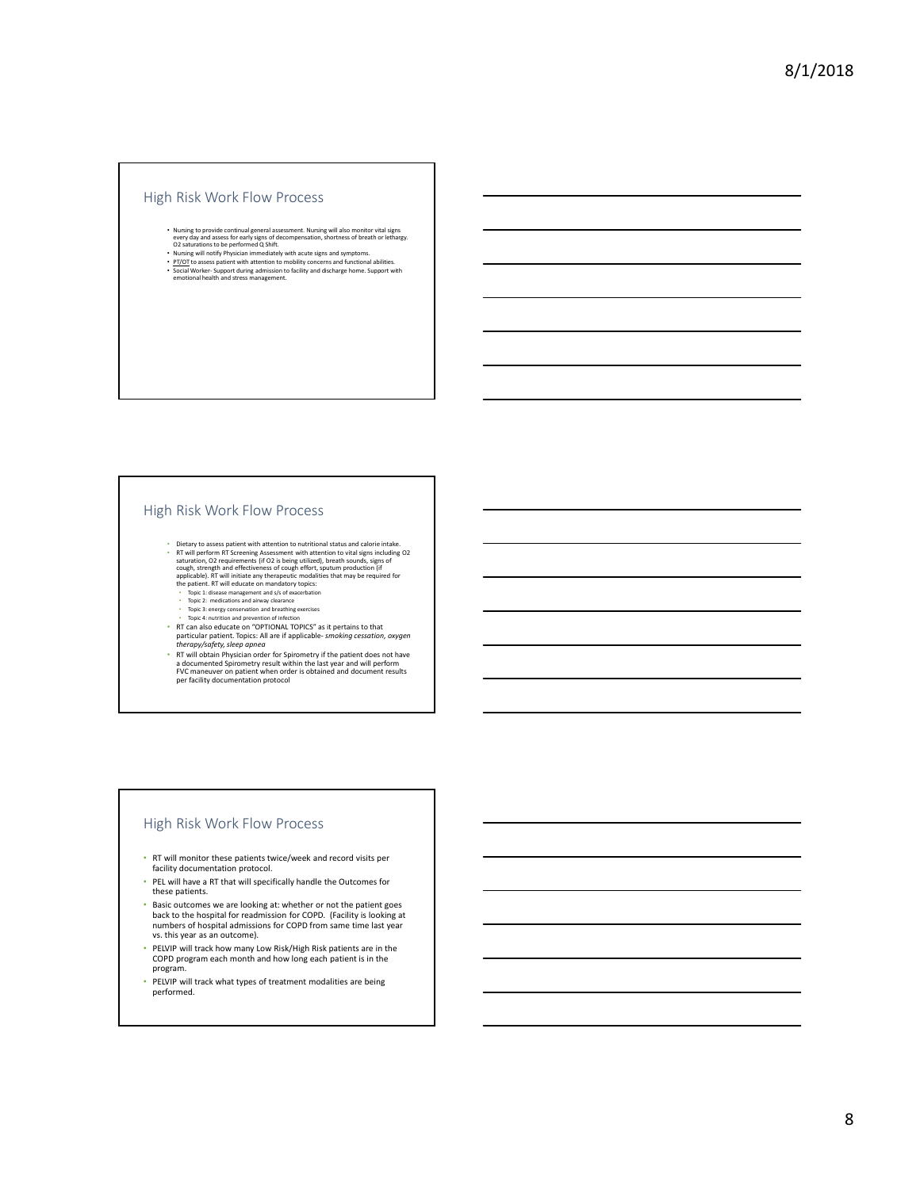#### High Risk Work Flow Process

- Nursing to provide continual general assessment. Nursing will also monitor vital signs<br>• every day and assess for early signs of decompensation, shortness of breath or lethargy.<br>O2 saturations to be performed Q Shift.<br>
- 
- 

# High Risk Work Flow Process

- Dietary to assess patient with attention to nutritional status and calorie intake. F Twill perform RT Screening Assessment with attention to vital signs including O2<br>staturation, O2 requirements (if O2 is being utilized), breath sounds, signs of<br>cough, strength and effectiveness of cough effort, sputum p
	- Topic 1: disease management and s/s of exacerbation
	-
	-
- Topic 2: medications and airway clearance Topic 3: energy conservation and breathing exercises Topic 4: nutrition and prevention of infection RT can also educate on "OPTIONAL TOPICS" as it pertains to that
- particular patient. Topics: All are if applicable- *smoking cessation, oxygen*<br>therapy/safety, sleep apnea<br>e RT will obtain Physician order for Spirometry if the patient does not have<br>a documented Spirometry result within

#### High Risk Work Flow Process

- RT will monitor these patients twice/week and record visits per facility documentation protocol.
- PEL will have a RT that will specifically handle the Outcomes for these patients.
- Basic outcomes we are looking at: whether or not the patient goes back to the hospital for readmission for COPD. (Facility is looking at numbers of hospital admissions for COPD from same time last year vs. this year as an outcome).
- PELVIP will track how many Low Risk/High Risk patients are in the COPD program each month and how long each patient is in the program.
- PELVIP will track what types of treatment modalities are being performed.